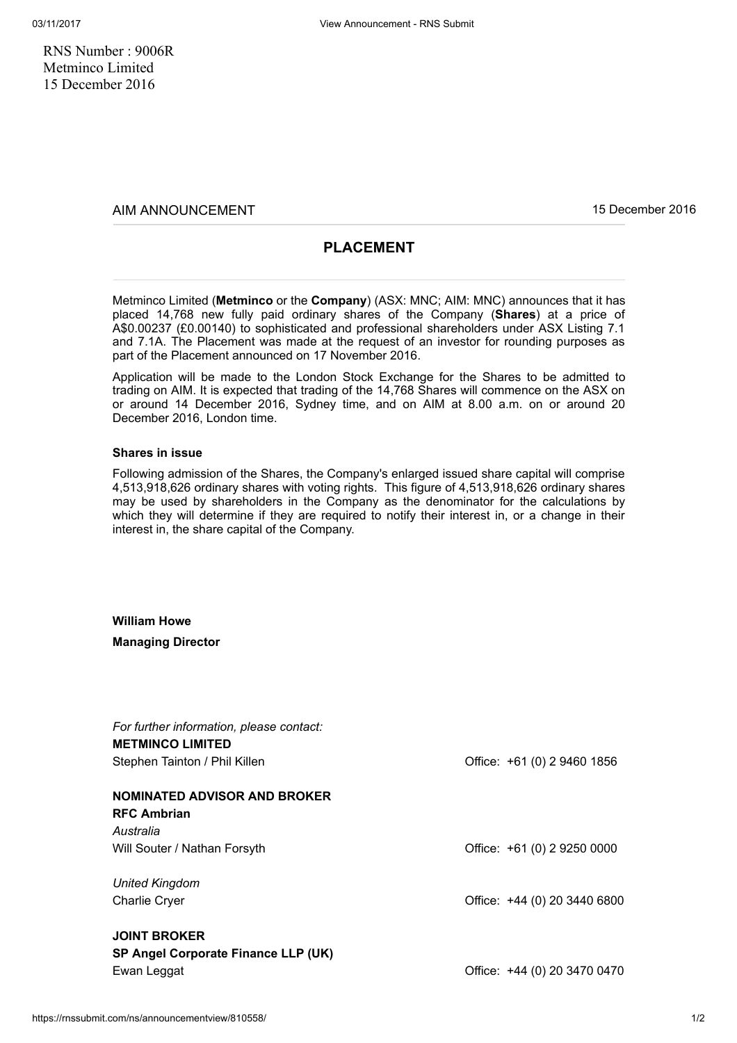RNS Number : 9006R Metminco Limited 15 December 2016

AIM ANNOUNCEMENT 15 December 2016

## PLACEMENT

Metminco Limited (Metminco or the Company) (ASX: MNC; AIM: MNC) announces that it has placed 14,768 new fully paid ordinary shares of the Company (Shares) at a price of A\$0.00237 (£0.00140) to sophisticated and professional shareholders under ASX Listing 7.1 and 7.1A. The Placement was made at the request of an investor for rounding purposes as part of the Placement announced on 17 November 2016.

Application will be made to the London Stock Exchange for the Shares to be admitted to trading on AIM. It is expected that trading of the 14,768 Shares will commence on the ASX on or around 14 December 2016, Sydney time, and on AIM at 8.00 a.m. on or around 20 December 2016, London time.

## Shares in issue

Following admission of the Shares, the Company's enlarged issued share capital will comprise 4,513,918,626 ordinary shares with voting rights. This figure of 4,513,918,626 ordinary shares may be used by shareholders in the Company as the denominator for the calculations by which they will determine if they are required to notify their interest in, or a change in their interest in, the share capital of the Company.

William Howe

Managing Director

| For further information, please contact:<br><b>METMINCO LIMITED</b><br>Stephen Tainton / Phil Killen | Office: +61 (0) 2 9460 1856  |
|------------------------------------------------------------------------------------------------------|------------------------------|
| <b>NOMINATED ADVISOR AND BROKER</b><br><b>RFC Ambrian</b><br>Australia                               |                              |
| Will Souter / Nathan Forsyth                                                                         | Office: +61 (0) 2 9250 0000  |
| United Kingdom<br><b>Charlie Cryer</b>                                                               | Office: +44 (0) 20 3440 6800 |
| <b>JOINT BROKER</b><br>SP Angel Corporate Finance LLP (UK)<br>Ewan Leggat                            | Office: +44 (0) 20 3470 0470 |